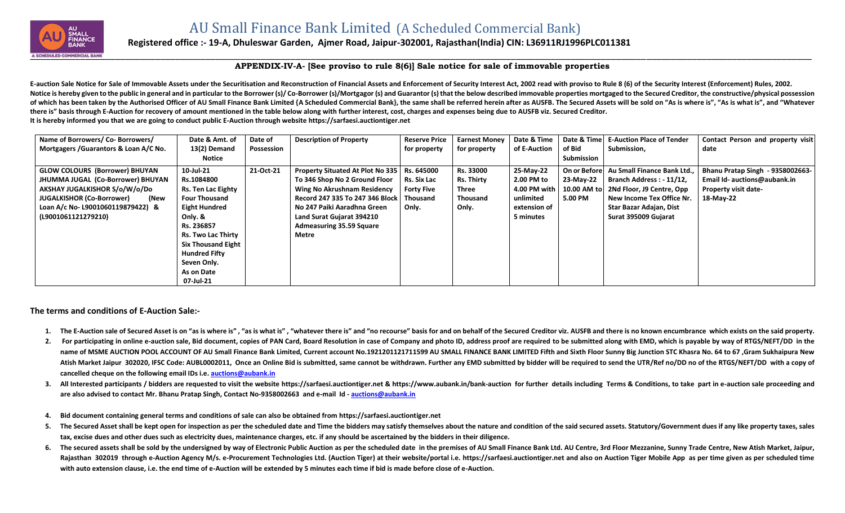

## **Registered office :- 19-A, Dhuleswar Garden, Ajmer Road, Jaipur-302001, Rajasthan(India) CIN: L36911RJ1996PLC011381**

## **APPENDIX-IV-A- [See proviso to rule 8(6)] Sale notice for sale of immovable properties**

E-auction Sale Notice for Sale of Immovable Assets under the Securitisation and Reconstruction of Financial Assets and Enforcement of Security Interest Act, 2002 read with proviso to Rule 8 (6) of the Security Interest (En Notice is hereby given to the public in general and in particular to the Borrower (s)/Co-Borrower (s)/Mortgagor (s) and Guarantor (s) that the below described immovable properties mortgaged to the Secured Creditor, the con of which has been taken by the Authorised Officer of AU Small Finance Bank Limited {A Scheduled Commercial Bank}, the same shall be referred herein after as AUSFB. The Secured Assets will be sold on "As is where is", "As i **there is" basis through E-Auction for recovery of amount mentioned in the table below along with further interest, cost, charges and expenses being due to AUSFB viz. Secured Creditor. It is hereby informed you that we are going to conduct public E-Auction through website [https://sarfaesi.auctiontiger.net](https://sarfaesi.auctiontiger.net/)** 

| Name of Borrowers/ Co- Borrowers/        | Date & Amt. of            | Date of    | <b>Description of Property</b>                | <b>Reserve Price</b> | <b>Earnest Money</b> | Date & Time    | Date & Time       | <b>E-Auction Place of Tender</b> | Contact Person and property visit |
|------------------------------------------|---------------------------|------------|-----------------------------------------------|----------------------|----------------------|----------------|-------------------|----------------------------------|-----------------------------------|
| Mortgagers / Guarantors & Loan A/C No.   | 13(2) Demand              | Possession |                                               | for property         | for property         | of E-Auction   | of Bid            | Submission,                      | date                              |
|                                          | Notice                    |            |                                               |                      |                      |                | <b>Submission</b> |                                  |                                   |
| <b>GLOW COLOURS (Borrower) BHUYAN</b>    | 10-Jul-21                 | 21-Oct-21  | Property Situated At Plot No 335   Rs. 645000 |                      | Rs. 33000            | 25-May-22      | On or Before      | Au Small Finance Bank Ltd        | Bhanu Pratap Singh - 9358002663-  |
| JHUMMA JUGAL (Co-Borrower) BHUYAN        | Rs.1084800                |            | To 346 Shop No 2 Ground Floor                 | Rs. Six Lac          | <b>Rs. Thirty</b>    | 2.00 PM to     | 23-May-22         | Branch Address: - 11/12,         | Email Id- auctions@aubank.in      |
| AKSHAY JUGALKISHOR S/o/W/o/Do            | <b>Rs. Ten Lac Eighty</b> |            | <b>Wing No Akrushnam Residency</b>            | <b>Forty Five</b>    | Three                | 4.00 PM with I | 10.00 AM to       | 2Nd Floor, J9 Centre, Opp        | <b>Property visit date-</b>       |
| <b>JUGALKISHOR (Co-Borrower)</b><br>(New | <b>Four Thousand</b>      |            | Record 247 335 To 247 346 Block Thousand      |                      | <b>Thousand</b>      | unlimited      | 5.00 PM           | New Income Tex Office Nr.        | 18-May-22                         |
| Loan A/c No- L9001060119879422) &        | Eight Hundred             |            | No 247 Paiki Aaradhna Green                   | Only.                | Only.                | extension of   |                   | Star Bazar Adajan, Dist          |                                   |
| (L9001061121279210)                      | Only. &                   |            | Land Surat Gujarat 394210                     |                      |                      | 5 minutes      |                   | Surat 395009 Gujarat             |                                   |
|                                          | Rs. 236857                |            | <b>Admeasuring 35.59 Square</b>               |                      |                      |                |                   |                                  |                                   |
|                                          | <b>Rs. Two Lac Thirty</b> |            | Metre                                         |                      |                      |                |                   |                                  |                                   |
|                                          | <b>Six Thousand Eight</b> |            |                                               |                      |                      |                |                   |                                  |                                   |
|                                          | <b>Hundred Fifty</b>      |            |                                               |                      |                      |                |                   |                                  |                                   |
|                                          | Seven Only.               |            |                                               |                      |                      |                |                   |                                  |                                   |
|                                          | As on Date                |            |                                               |                      |                      |                |                   |                                  |                                   |
|                                          | 07-Jul-21                 |            |                                               |                      |                      |                |                   |                                  |                                   |

**The terms and conditions of E-Auction Sale:-**

- 1. The E-Auction sale of Secured Asset is on "as is where is", "as is what is", "whatever there is" amd "no recourse" basis for and on behalf of the Secured Creditor viz. AUSFB and there is no known encumbrance which exist
- 2. For participating in online e-auction sale, Bid document, copies of PAN Card, Board Resolution in case of Company and photo ID, address proof are required to be submitted along with EMD, which is payable by way of RTGS/ name of MSME AUCTION POOL ACCOUNT OF AU Small Finance Bank Limited, Current account No.1921201121711599 AU SMALL FINANCE BANK LIMITED Fifth and Sixth Floor Sunny Big Junction STC Khasra No. 64 to 67, Gram Sukhaipura New Atish Market Jaipur 302020, IFSC Code: AUBL0002011, Once an Online Bid is submitted, same cannot be withdrawn. Further any EMD submitted by bidder will be required to send the UTR/Ref no/DD no of the RTGS/NEFT/DD with a co **cancelled cheque on the following email IDs i.e. [auctions@aubank.in](mailto:auctions@aubank.in)**
- 3. All Interested participants / bidders are requested to visit the website [https://sarfaesi.auctiontiger.net](https://sarfaesi.auctiontiger.net/) & https://www.aubank.in/bank-auction for further details including Terms & Conditions, to take part in e-auction **are also advised to contact Mr. Bhanu Pratap Singh, Contact No-9358002663 and e-mail Id - [auctions@aubank.in](mailto:auctions@aubank.in)**
- **4. Bid document containing general terms and conditions of sale can also be obtained fro[m https://sarfaesi.auctiontiger.net](https://edelweissarc.auctiontiger.net/)**
- 5. The Secured Asset shall be kept open for inspection as per the scheduled date and Time the bidders may satisfy themselves about the nature and condition of the said secured assets. Statutory/Government dues if any like **tax, excise dues and other dues such as electricity dues, maintenance charges, etc. if any should be ascertained by the bidders in their diligence.**
- 6. The secured assets shall be sold by the undersigned by way of Electronic Public Auction as per the scheduled date in the premises of AU Small Finance Bank Ltd. AU Centre, 3rd Floor Mezzanine, Sunny Trade Centre, New Ati Rajasthan 302019 through e-Auction Agency M/s. e-Procurement Technologies Ltd. (Auction Tiger) at their website/portal i.e. [https://sarfaesi.auctiontiger.net](https://sarfaesi.auctiontiger.net/) and also on Auction Tiger Mobile App as per time given as per sc **with auto extension clause, i.e. the end time of e-Auction will be extended by 5 minutes each time if bid is made before close of e-Auction.**